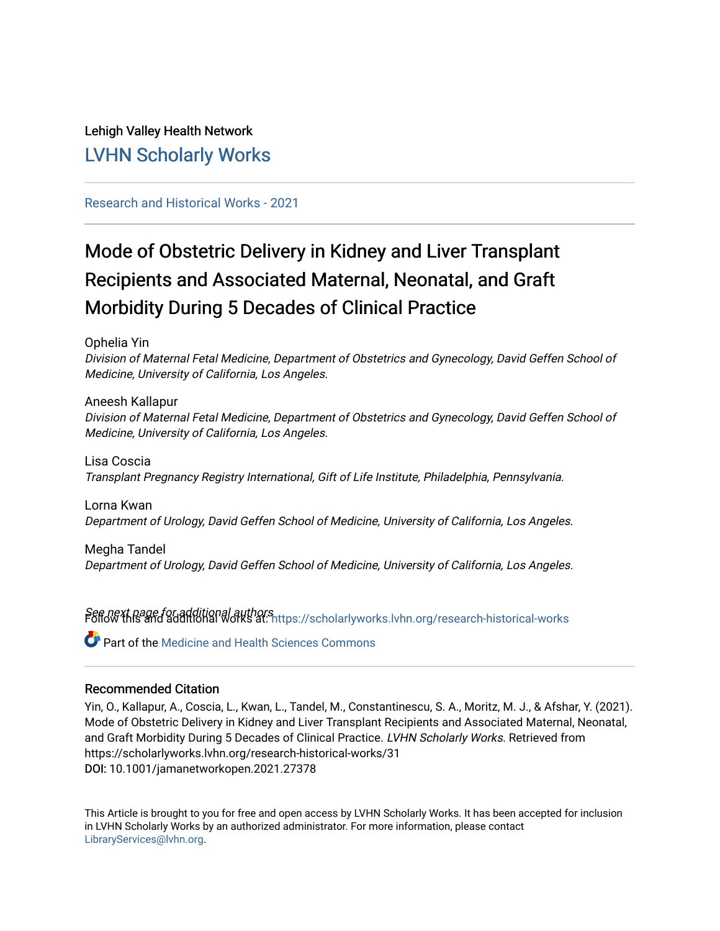# Lehigh Valley Health Network [LVHN Scholarly Works](https://scholarlyworks.lvhn.org/)

# [Research and Historical Works - 2021](https://scholarlyworks.lvhn.org/research-historical-works)

# Mode of Obstetric Delivery in Kidney and Liver Transplant Recipients and Associated Maternal, Neonatal, and Graft Morbidity During 5 Decades of Clinical Practice

Ophelia Yin

Division of Maternal Fetal Medicine, Department of Obstetrics and Gynecology, David Geffen School of Medicine, University of California, Los Angeles.

Aneesh Kallapur Division of Maternal Fetal Medicine, Department of Obstetrics and Gynecology, David Geffen School of Medicine, University of California, Los Angeles.

Lisa Coscia Transplant Pregnancy Registry International, Gift of Life Institute, Philadelphia, Pennsylvania.

Lorna Kwan Department of Urology, David Geffen School of Medicine, University of California, Los Angeles.

Megha Tandel Department of Urology, David Geffen School of Medicine, University of California, Los Angeles.

Seffd@Xthage for additional authors at: [https://scholarlyworks.lvhn.org/research-historical-works](https://scholarlyworks.lvhn.org/research-historical-works?utm_source=scholarlyworks.lvhn.org%2Fresearch-historical-works%2F31&utm_medium=PDF&utm_campaign=PDFCoverPages)

**C** Part of the Medicine and Health Sciences Commons

# Recommended Citation

Yin, O., Kallapur, A., Coscia, L., Kwan, L., Tandel, M., Constantinescu, S. A., Moritz, M. J., & Afshar, Y. (2021). Mode of Obstetric Delivery in Kidney and Liver Transplant Recipients and Associated Maternal, Neonatal, and Graft Morbidity During 5 Decades of Clinical Practice. LVHN Scholarly Works. Retrieved from https://scholarlyworks.lvhn.org/research-historical-works/31 DOI: 10.1001/jamanetworkopen.2021.27378

This Article is brought to you for free and open access by LVHN Scholarly Works. It has been accepted for inclusion in LVHN Scholarly Works by an authorized administrator. For more information, please contact [LibraryServices@lvhn.org](mailto:LibraryServices@lvhn.org).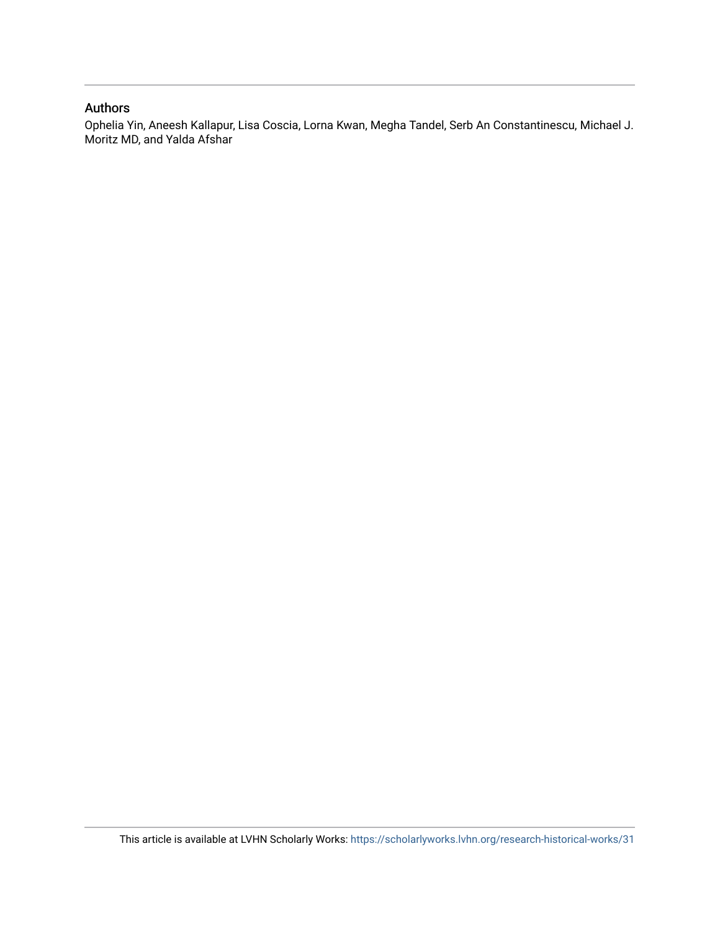# Authors

Ophelia Yin, Aneesh Kallapur, Lisa Coscia, Lorna Kwan, Megha Tandel, Serb An Constantinescu, Michael J. Moritz MD, and Yalda Afshar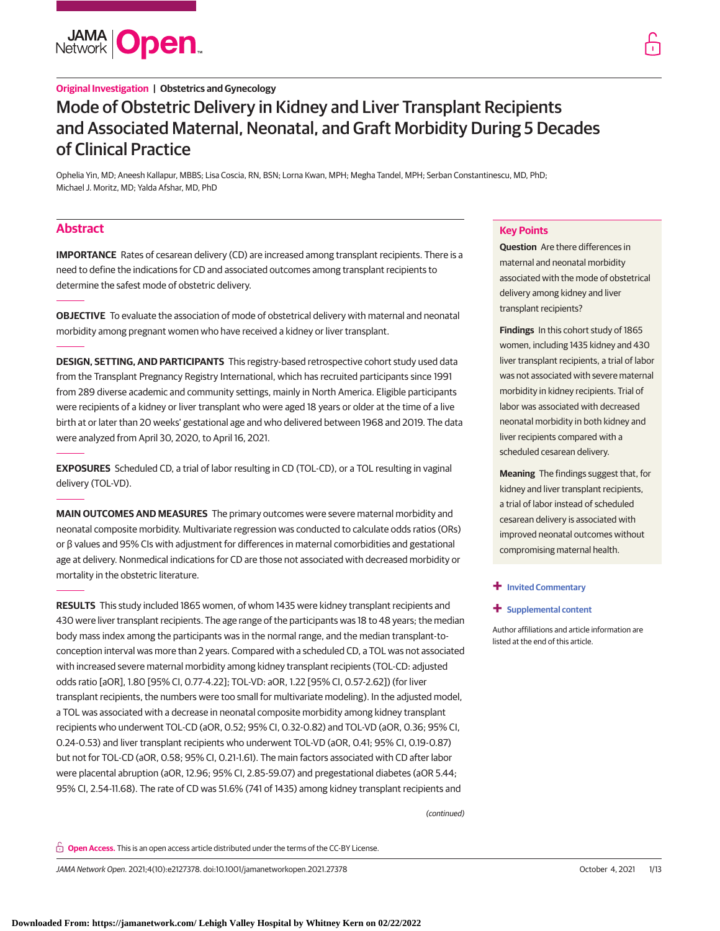

# **Original Investigation | Obstetrics and Gynecology**

# Mode of Obstetric Delivery in Kidney and Liver Transplant Recipients and Associated Maternal, Neonatal, and Graft Morbidity During 5 Decades of Clinical Practice

Ophelia Yin, MD; Aneesh Kallapur, MBBS; Lisa Coscia, RN, BSN; Lorna Kwan, MPH; Megha Tandel, MPH; Serban Constantinescu, MD, PhD; Michael J. Moritz, MD; Yalda Afshar, MD, PhD

# **Abstract**

**IMPORTANCE** Rates of cesarean delivery (CD) are increased among transplant recipients. There is a need to define the indications for CD and associated outcomes among transplant recipients to determine the safest mode of obstetric delivery.

**OBJECTIVE** To evaluate the association of mode of obstetrical delivery with maternal and neonatal morbidity among pregnant women who have received a kidney or liver transplant.

**DESIGN, SETTING, AND PARTICIPANTS** This registry-based retrospective cohort study used data from the Transplant Pregnancy Registry International, which has recruited participants since 1991 from 289 diverse academic and community settings, mainly in North America. Eligible participants were recipients of a kidney or liver transplant who were aged 18 years or older at the time of a live birth at or later than 20 weeks' gestational age and who delivered between 1968 and 2019. The data were analyzed from April 30, 2020, to April 16, 2021.

**EXPOSURES** Scheduled CD, a trial of labor resulting in CD (TOL-CD), or a TOL resulting in vaginal delivery (TOL-VD).

**MAIN OUTCOMES AND MEASURES** The primary outcomes were severe maternal morbidity and neonatal composite morbidity. Multivariate regression was conducted to calculate odds ratios (ORs) or β values and 95% CIs with adjustment for differences in maternal comorbidities and gestational age at delivery. Nonmedical indications for CD are those not associated with decreased morbidity or mortality in the obstetric literature.

**RESULTS** This study included 1865 women, of whom 1435 were kidney transplant recipients and 430 were liver transplant recipients. The age range of the participants was 18 to 48 years; the median body mass index among the participants was in the normal range, and the median transplant-toconception interval was more than 2 years. Compared with a scheduled CD, a TOL was not associated with increased severe maternal morbidity among kidney transplant recipients (TOL-CD: adjusted odds ratio [aOR], 1.80 [95% CI, 0.77-4.22]; TOL-VD: aOR, 1.22 [95% CI, 0.57-2.62]) (for liver transplant recipients, the numbers were too small for multivariate modeling). In the adjusted model, a TOL was associated with a decrease in neonatal composite morbidity among kidney transplant recipients who underwent TOL-CD (aOR, 0.52; 95% CI, 0.32-0.82) and TOL-VD (aOR, 0.36; 95% CI, 0.24-0.53) and liver transplant recipients who underwent TOL-VD (aOR, 0.41; 95% CI, 0.19-0.87) but not for TOL-CD (aOR, 0.58; 95% CI, 0.21-1.61). The main factors associated with CD after labor were placental abruption (aOR, 12.96; 95% CI, 2.85-59.07) and pregestational diabetes (aOR 5.44; 95% CI, 2.54-11.68). The rate of CD was 51.6% (741 of 1435) among kidney transplant recipients and

(continued)

**Open Access.** This is an open access article distributed under the terms of the CC-BY License.

JAMA Network Open. 2021;4(10):e2127378. doi:10.1001/jamanetworkopen.2021.27378 (Reprinted) October 4, 2021 1/13

**Key Points**

transplant recipients?

**+ [Invited Commentary](https://jama.jamanetwork.com/article.aspx?doi=10.1001/jamanetworkopen.2021.27414&utm_campaign=articlePDF%26utm_medium=articlePDFlink%26utm_source=articlePDF%26utm_content=jamanetworkopen.2021.27378)**

listed at the end of this article.

**+ [Supplemental content](https://jama.jamanetwork.com/article.aspx?doi=10.1001/jamanetworkopen.2021.27378&utm_campaign=articlePDF%26utm_medium=articlePDFlink%26utm_source=articlePDF%26utm_content=jamanetworkopen.2021.27378)**

Author affiliations and article information are

**Question** Are there differences in maternal and neonatal morbidity associated with the mode of obstetrical delivery among kidney and liver

**Findings** In this cohort study of 1865 women, including 1435 kidney and 430 liver transplant recipients, a trial of labor was not associated with severe maternal morbidity in kidney recipients. Trial of labor was associated with decreased neonatal morbidity in both kidney and liver recipients compared with a scheduled cesarean delivery.

**Meaning** The findings suggest that, for kidney and liver transplant recipients, a trial of labor instead of scheduled cesarean delivery is associated with improved neonatal outcomes without compromising maternal health.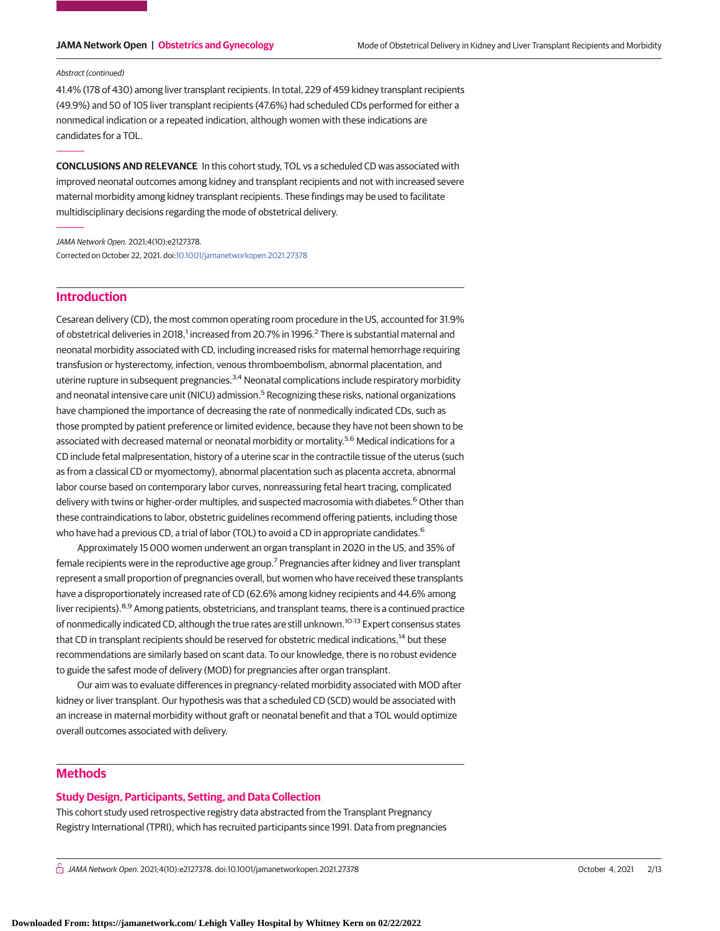### Abstract (continued)

41.4% (178 of 430) among liver transplant recipients. In total, 229 of 459 kidney transplant recipients (49.9%) and 50 of 105 liver transplant recipients (47.6%) had scheduled CDs performed for either a nonmedical indication or a repeated indication, although women with these indications are candidates for a TOL.

**CONCLUSIONS AND RELEVANCE** In this cohort study, TOL vs a scheduled CD was associated with improved neonatal outcomes among kidney and transplant recipients and not with increased severe maternal morbidity among kidney transplant recipients. These findings may be used to facilitate multidisciplinary decisions regarding the mode of obstetrical delivery.

JAMA Network Open. 2021;4(10):e2127378. Corrected on October 22, 2021. doi[:10.1001/jamanetworkopen.2021.27378](https://jama.jamanetwork.com/article.aspx?doi=10.1001/jamanetworkopen.2021.27378&utm_campaign=articlePDF%26utm_medium=articlePDFlink%26utm_source=articlePDF%26utm_content=jamanetworkopen.2021.27378)

# **Introduction**

Cesarean delivery (CD), the most common operating room procedure in the US, accounted for 31.9% of obstetrical deliveries in 2018,<sup>1</sup> increased from 20.7% in 1996.<sup>2</sup> There is substantial maternal and neonatal morbidity associated with CD, including increased risks for maternal hemorrhage requiring transfusion or hysterectomy, infection, venous thromboembolism, abnormal placentation, and uterine rupture in subsequent pregnancies.<sup>3,4</sup> Neonatal complications include respiratory morbidity and neonatal intensive care unit (NICU) admission.<sup>5</sup> Recognizing these risks, national organizations have championed the importance of decreasing the rate of nonmedically indicated CDs, such as those prompted by patient preference or limited evidence, because they have not been shown to be associated with decreased maternal or neonatal morbidity or mortality.<sup>5,6</sup> Medical indications for a CD include fetal malpresentation, history of a uterine scar in the contractile tissue of the uterus (such as from a classical CD or myomectomy), abnormal placentation such as placenta accreta, abnormal labor course based on contemporary labor curves, nonreassuring fetal heart tracing, complicated delivery with twins or higher-order multiples, and suspected macrosomia with diabetes.<sup>6</sup> Other than these contraindications to labor, obstetric guidelines recommend offering patients, including those who have had a previous CD, a trial of labor (TOL) to avoid a CD in appropriate candidates.<sup>6</sup>

Approximately 15 000 women underwent an organ transplant in 2020 in the US, and 35% of female recipients were in the reproductive age group.7 Pregnancies after kidney and liver transplant represent a small proportion of pregnancies overall, but women who have received these transplants have a disproportionately increased rate of CD (62.6% among kidney recipients and 44.6% among liver recipients).<sup>8,9</sup> Among patients, obstetricians, and transplant teams, there is a continued practice of nonmedically indicated CD, although the true rates are still unknown.10-13 Expert consensus states that CD in transplant recipients should be reserved for obstetric medical indications,<sup>14</sup> but these recommendations are similarly based on scant data. To our knowledge, there is no robust evidence to guide the safest mode of delivery (MOD) for pregnancies after organ transplant.

Our aim was to evaluate differences in pregnancy-related morbidity associated with MOD after kidney or liver transplant. Our hypothesis was that a scheduled CD (SCD) would be associated with an increase in maternal morbidity without graft or neonatal benefit and that a TOL would optimize overall outcomes associated with delivery.

# **Methods**

## **Study Design, Participants, Setting, and Data Collection**

This cohort study used retrospective registry data abstracted from the Transplant Pregnancy Registry International (TPRI), which has recruited participants since 1991. Data from pregnancies

 $\bigcap$  JAMA Network Open. 2021;4(10):e2127378. doi:10.1001/jamanetworkopen.2021.27378 (Reprinted) October 4, 2021 2/13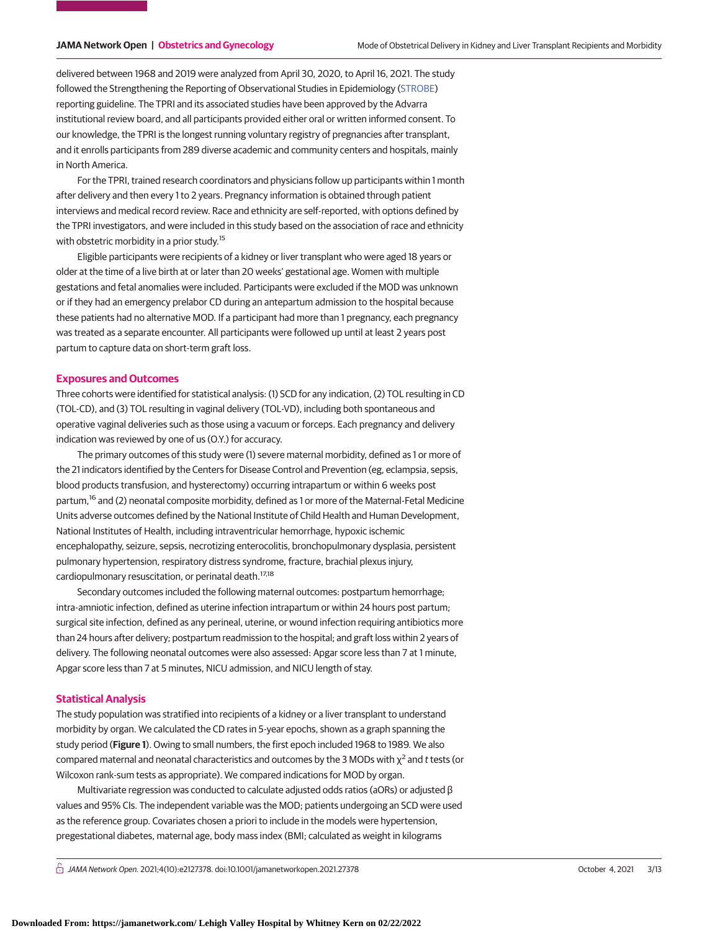delivered between 1968 and 2019 were analyzed from April 30, 2020, to April 16, 2021. The study followed the Strengthening the Reporting of Observational Studies in Epidemiology [\(STROBE\)](https://www.equator-network.org/reporting-guidelines/strobe/) reporting guideline. The TPRI and its associated studies have been approved by the Advarra institutional review board, and all participants provided either oral or written informed consent. To our knowledge, the TPRI is the longest running voluntary registry of pregnancies after transplant, and it enrolls participants from 289 diverse academic and community centers and hospitals, mainly in North America.

For the TPRI, trained research coordinators and physicians follow up participants within 1 month after delivery and then every 1 to 2 years. Pregnancy information is obtained through patient interviews and medical record review. Race and ethnicity are self-reported, with options defined by the TPRI investigators, and were included in this study based on the association of race and ethnicity with obstetric morbidity in a prior study.<sup>15</sup>

Eligible participants were recipients of a kidney or liver transplant who were aged 18 years or older at the time of a live birth at or later than 20 weeks' gestational age. Women with multiple gestations and fetal anomalies were included. Participants were excluded if the MOD was unknown or if they had an emergency prelabor CD during an antepartum admission to the hospital because these patients had no alternative MOD. If a participant had more than 1 pregnancy, each pregnancy was treated as a separate encounter. All participants were followed up until at least 2 years post partum to capture data on short-term graft loss.

### **Exposures and Outcomes**

Three cohorts were identified for statistical analysis: (1) SCD for any indication, (2) TOL resulting in CD (TOL-CD), and (3) TOL resulting in vaginal delivery (TOL-VD), including both spontaneous and operative vaginal deliveries such as those using a vacuum or forceps. Each pregnancy and delivery indication was reviewed by one of us (O.Y.) for accuracy.

The primary outcomes of this study were (1) severe maternal morbidity, defined as 1 or more of the 21 indicators identified by the Centers for Disease Control and Prevention (eg, eclampsia, sepsis, blood products transfusion, and hysterectomy) occurring intrapartum or within 6 weeks post partum,<sup>16</sup> and (2) neonatal composite morbidity, defined as 1 or more of the Maternal-Fetal Medicine Units adverse outcomes defined by the National Institute of Child Health and Human Development, National Institutes of Health, including intraventricular hemorrhage, hypoxic ischemic encephalopathy, seizure, sepsis, necrotizing enterocolitis, bronchopulmonary dysplasia, persistent pulmonary hypertension, respiratory distress syndrome, fracture, brachial plexus injury, cardiopulmonary resuscitation, or perinatal death.<sup>17,18</sup>

Secondary outcomes included the following maternal outcomes: postpartum hemorrhage; intra-amniotic infection, defined as uterine infection intrapartum or within 24 hours post partum; surgical site infection, defined as any perineal, uterine, or wound infection requiring antibiotics more than 24 hours after delivery; postpartum readmission to the hospital; and graft loss within 2 years of delivery. The following neonatal outcomes were also assessed: Apgar score less than 7 at 1 minute, Apgar score less than 7 at 5 minutes, NICU admission, and NICU length of stay.

# **Statistical Analysis**

The study population was stratified into recipients of a kidney or a liver transplant to understand morbidity by organ. We calculated the CD rates in 5-year epochs, shown as a graph spanning the study period (**Figure 1**). Owing to small numbers, the first epoch included 1968 to 1989. We also compared maternal and neonatal characteristics and outcomes by the 3 MODs with  $\chi^2$  and t tests (or Wilcoxon rank-sum tests as appropriate). We compared indications for MOD by organ.

Multivariate regression was conducted to calculate adjusted odds ratios (aORs) or adjusted β values and 95% CIs. The independent variable was the MOD; patients undergoing an SCD were used as the reference group. Covariates chosen a priori to include in the models were hypertension, pregestational diabetes, maternal age, body mass index (BMI; calculated as weight in kilograms

 $\bigcap$  JAMA Network Open. 2021;4(10):e2127378. doi:10.1001/jamanetworkopen.2021.27378 (Reprinted) October 4, 2021 3/13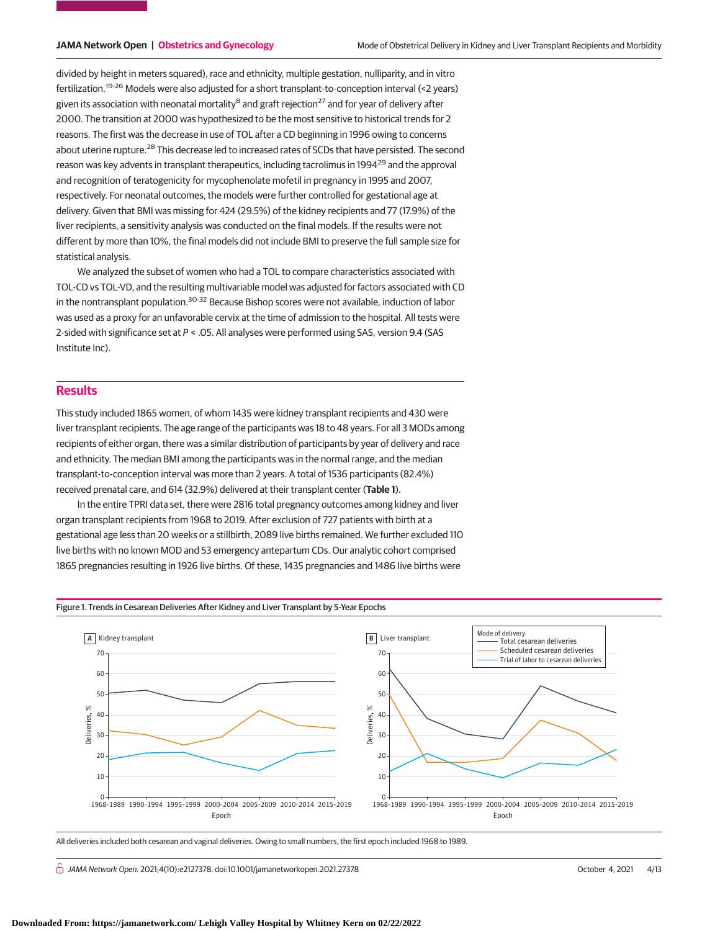divided by height in meters squared), race and ethnicity, multiple gestation, nulliparity, and in vitro fertilization.19-26 Models were also adjusted for a short transplant-to-conception interval (<2 years) given its association with neonatal mortality<sup>8</sup> and graft rejection<sup>27</sup> and for year of delivery after 2000. The transition at 2000 was hypothesized to be the most sensitive to historical trends for 2 reasons. The first was the decrease in use of TOL after a CD beginning in 1996 owing to concerns about uterine rupture.<sup>28</sup> This decrease led to increased rates of SCDs that have persisted. The second reason was key advents in transplant therapeutics, including tacrolimus in 1994<sup>29</sup> and the approval and recognition of teratogenicity for mycophenolate mofetil in pregnancy in 1995 and 2007, respectively. For neonatal outcomes, the models were further controlled for gestational age at delivery. Given that BMI was missing for 424 (29.5%) of the kidney recipients and 77 (17.9%) of the liver recipients, a sensitivity analysis was conducted on the final models. If the results were not different by more than 10%, the final models did not include BMI to preserve the full sample size for statistical analysis.

We analyzed the subset of women who had a TOL to compare characteristics associated with TOL-CD vs TOL-VD, and the resulting multivariable model was adjusted for factors associated with CD in the nontransplant population.<sup>30-32</sup> Because Bishop scores were not available, induction of labor was used as a proxy for an unfavorable cervix at the time of admission to the hospital. All tests were 2-sided with significance set at  $P <$  .05. All analyses were performed using SAS, version 9.4 (SAS Institute Inc).

# **Results**

This study included 1865 women, of whom 1435 were kidney transplant recipients and 430 were liver transplant recipients. The age range of the participants was 18 to 48 years. For all 3 MODs among recipients of either organ, there was a similar distribution of participants by year of delivery and race and ethnicity. The median BMI among the participants was in the normal range, and the median transplant-to-conception interval was more than 2 years. A total of 1536 participants (82.4%) received prenatal care, and 614 (32.9%) delivered at their transplant center (**Table 1**).

In the entire TPRI data set, there were 2816 total pregnancy outcomes among kidney and liver organ transplant recipients from 1968 to 2019. After exclusion of 727 patients with birth at a gestational age less than 20 weeks or a stillbirth, 2089 live births remained. We further excluded 110 live births with no known MOD and 53 emergency antepartum CDs. Our analytic cohort comprised 1865 pregnancies resulting in 1926 live births. Of these, 1435 pregnancies and 1486 live births were



All deliveries included both cesarean and vaginal deliveries. Owing to small numbers, the first epoch included 1968 to 1989.

 $\bigcap$  JAMA Network Open. 2021;4(10):e2127378. doi:10.1001/jamanetworkopen.2021.27378 (Reprinted) October 4, 2021 4/13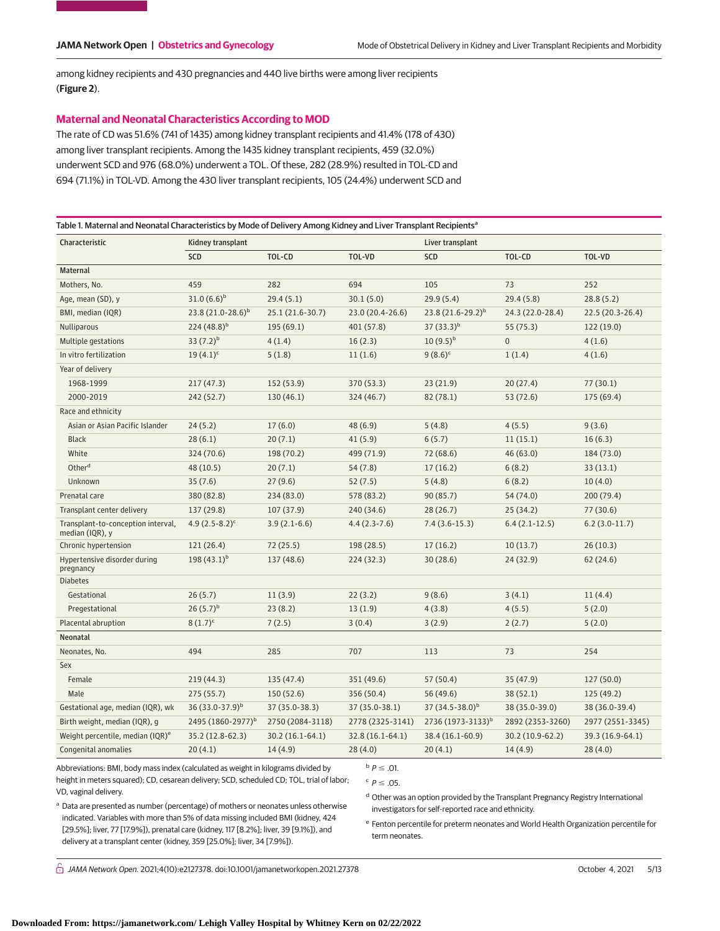among kidney recipients and 430 pregnancies and 440 live births were among liver recipients (**Figure 2**).

# **Maternal and Neonatal Characteristics According to MOD**

The rate of CD was 51.6% (741 of 1435) among kidney transplant recipients and 41.4% (178 of 430) among liver transplant recipients. Among the 1435 kidney transplant recipients, 459 (32.0%) underwent SCD and 976 (68.0%) underwent a TOL. Of these, 282 (28.9%) resulted in TOL-CD and 694 (71.1%) in TOL-VD. Among the 430 liver transplant recipients, 105 (24.4%) underwent SCD and

|                                                       | Table 1. Maternal and Neonatal Characteristics by Mode of Delivery Among Kidney and Liver Transplant Recipients <sup>a</sup> |                   |                   |                               |                  |                   |  |  |
|-------------------------------------------------------|------------------------------------------------------------------------------------------------------------------------------|-------------------|-------------------|-------------------------------|------------------|-------------------|--|--|
| Characteristic                                        | Kidney transplant                                                                                                            |                   |                   | Liver transplant              |                  |                   |  |  |
|                                                       | SCD                                                                                                                          | TOL-CD            | TOL-VD            | <b>SCD</b>                    | TOL-CD           | TOL-VD            |  |  |
| Maternal                                              |                                                                                                                              |                   |                   |                               |                  |                   |  |  |
| Mothers, No.                                          | 459                                                                                                                          | 282               | 694               | 105                           | 73               | 252               |  |  |
| Age, mean (SD), y                                     | $31.0(6.6)^b$                                                                                                                | 29.4(5.1)         | 30.1(5.0)         | 29.9(5.4)                     | 29.4(5.8)        | 28.8(5.2)         |  |  |
| BMI, median (IQR)                                     | $23.8(21.0-28.6)^b$                                                                                                          | 25.1 (21.6-30.7)  | 23.0 (20.4-26.6)  | $23.8(21.6-29.2)^{b}$         | 24.3 (22.0-28.4) | $22.5(20.3-26.4)$ |  |  |
| <b>Nulliparous</b>                                    | $224(48.8)^{b}$                                                                                                              | 195(69.1)         | 401 (57.8)        | $37(33.3)^b$                  | 55 (75.3)        | 122(19.0)         |  |  |
| Multiple gestations                                   | 33 $(7.2)^b$                                                                                                                 | 4(1.4)            | 16(2.3)           | $10(9.5)^{b}$                 | $\mathbf{0}$     | 4(1.6)            |  |  |
| In vitro fertilization                                | $19(4.1)^c$                                                                                                                  | 5(1.8)            | 11(1.6)           | $9(8.6)^c$                    | 1(1.4)           | 4(1.6)            |  |  |
| Year of delivery                                      |                                                                                                                              |                   |                   |                               |                  |                   |  |  |
| 1968-1999                                             | 217(47.3)                                                                                                                    | 152 (53.9)        | 370 (53.3)        | 23(21.9)                      | 20(27.4)         | 77(30.1)          |  |  |
| 2000-2019                                             | 242 (52.7)                                                                                                                   | 130(46.1)         | 324 (46.7)        | 82(78.1)                      | 53 (72.6)        | 175 (69.4)        |  |  |
| Race and ethnicity                                    |                                                                                                                              |                   |                   |                               |                  |                   |  |  |
| Asian or Asian Pacific Islander                       | 24(5.2)                                                                                                                      | 17(6.0)           | 48 (6.9)          | 5(4.8)                        | 4(5.5)           | 9(3.6)            |  |  |
| <b>Black</b>                                          | 28(6.1)                                                                                                                      | 20(7.1)           | 41(5.9)           | 6(5.7)                        | 11(15.1)         | 16(6.3)           |  |  |
| White                                                 | 324 (70.6)                                                                                                                   | 198 (70.2)        | 499 (71.9)        | 72(68.6)                      | 46 (63.0)        | 184 (73.0)        |  |  |
| Other <sup>d</sup>                                    | 48 (10.5)                                                                                                                    | 20(7.1)           | 54(7.8)           | 17(16.2)                      | 6(8.2)           | 33(13.1)          |  |  |
| Unknown                                               | 35(7.6)                                                                                                                      | 27(9.6)           | 52(7.5)           | 5(4.8)                        | 6(8.2)           | 10(4.0)           |  |  |
| Prenatal care                                         | 380 (82.8)                                                                                                                   | 234 (83.0)        | 578 (83.2)        | 90(85.7)                      | 54 (74.0)        | 200 (79.4)        |  |  |
| Transplant center delivery                            | 137 (29.8)                                                                                                                   | 107(37.9)         | 240 (34.6)        | 28(26.7)                      | 25(34.2)         | 77(30.6)          |  |  |
| Transplant-to-conception interval,<br>median (IQR), y | 4.9 $(2.5 - 8.2)^c$                                                                                                          | $3.9(2.1-6.6)$    | $4.4(2.3-7.6)$    | $7.4(3.6-15.3)$               | $6.4(2.1-12.5)$  | $6.2(3.0-11.7)$   |  |  |
| Chronic hypertension                                  | 121(26.4)                                                                                                                    | 72(25.5)          | 198 (28.5)        | 17(16.2)                      | 10(13.7)         | 26(10.3)          |  |  |
| Hypertensive disorder during<br>pregnancy             | 198 $(43.1)^b$                                                                                                               | 137 (48.6)        | 224(32.3)         | 30(28.6)                      | 24 (32.9)        | 62(24.6)          |  |  |
| <b>Diabetes</b>                                       |                                                                                                                              |                   |                   |                               |                  |                   |  |  |
| Gestational                                           | 26(5.7)                                                                                                                      | 11(3.9)           | 22(3.2)           | 9(8.6)                        | 3(4.1)           | 11(4.4)           |  |  |
| Pregestational                                        | $26(5.7)^{b}$                                                                                                                | 23(8.2)           | 13(1.9)           | 4(3.8)                        | 4(5.5)           | 5(2.0)            |  |  |
| Placental abruption                                   | $8(1.7)^c$                                                                                                                   | 7(2.5)            | 3(0.4)            | 3(2.9)                        | 2(2.7)           | 5(2.0)            |  |  |
| Neonatal                                              |                                                                                                                              |                   |                   |                               |                  |                   |  |  |
| Neonates, No.                                         | 494                                                                                                                          | 285               | 707               | 113                           | 73               | 254               |  |  |
| Sex                                                   |                                                                                                                              |                   |                   |                               |                  |                   |  |  |
| Female                                                | 219 (44.3)                                                                                                                   | 135 (47.4)        | 351 (49.6)        | 57(50.4)                      | 35 (47.9)        | 127(50.0)         |  |  |
| Male                                                  | 275(55.7)                                                                                                                    | 150(52.6)         | 356 (50.4)        | 56 (49.6)                     | 38(52.1)         | 125 (49.2)        |  |  |
| Gestational age, median (IQR), wk                     | 36 (33.0-37.9) <sup>b</sup>                                                                                                  | 37 (35.0-38.3)    | 37 (35.0-38.1)    | 37 $(34.5 - 38.0)^b$          | 38 (35.0-39.0)   | 38 (36.0-39.4)    |  |  |
| Birth weight, median (IQR), g                         | 2495 (1860-2977) <sup>b</sup>                                                                                                | 2750 (2084-3118)  | 2778 (2325-3141)  | 2736 (1973-3133) <sup>b</sup> | 2892 (2353-3260) | 2977 (2551-3345)  |  |  |
| Weight percentile, median (IQR) <sup>e</sup>          | 35.2 (12.8-62.3)                                                                                                             | $30.2(16.1-64.1)$ | $32.8(16.1-64.1)$ | 38.4 (16.1-60.9)              | 30.2 (10.9-62.2) | 39.3 (16.9-64.1)  |  |  |
| Congenital anomalies                                  | 20(4.1)                                                                                                                      | 14(4.9)           | 28(4.0)           | 20(4.1)                       | 14(4.9)          | 28(4.0)           |  |  |

Abbreviations: BMI, body mass index (calculated as weight in kilograms divided by height in meters squared); CD, cesarean delivery; SCD, scheduled CD; TOL, trial of labor; VD, vaginal delivery.

 $P \leq .01$ .  $P \leq .05$ .

a Data are presented as number (percentage) of mothers or neonates unless otherwise indicated. Variables with more than 5% of data missing included BMI (kidney, 424 [29.5%]; liver, 77 [17.9%]), prenatal care (kidney, 117 [8.2%]; liver, 39 [9.1%]), and delivery at a transplant center (kidney, 359 [25.0%]; liver, 34 [7.9%]).

d Other was an option provided by the Transplant Pregnancy Registry International investigators for self-reported race and ethnicity.

<sup>e</sup> Fenton percentile for preterm neonates and World Health Organization percentile for term neonates.

 $\bigcap$  JAMA Network Open. 2021;4(10):e2127378. doi:10.1001/jamanetworkopen.2021.27378 (Reprinted) October 4, 2021 5/13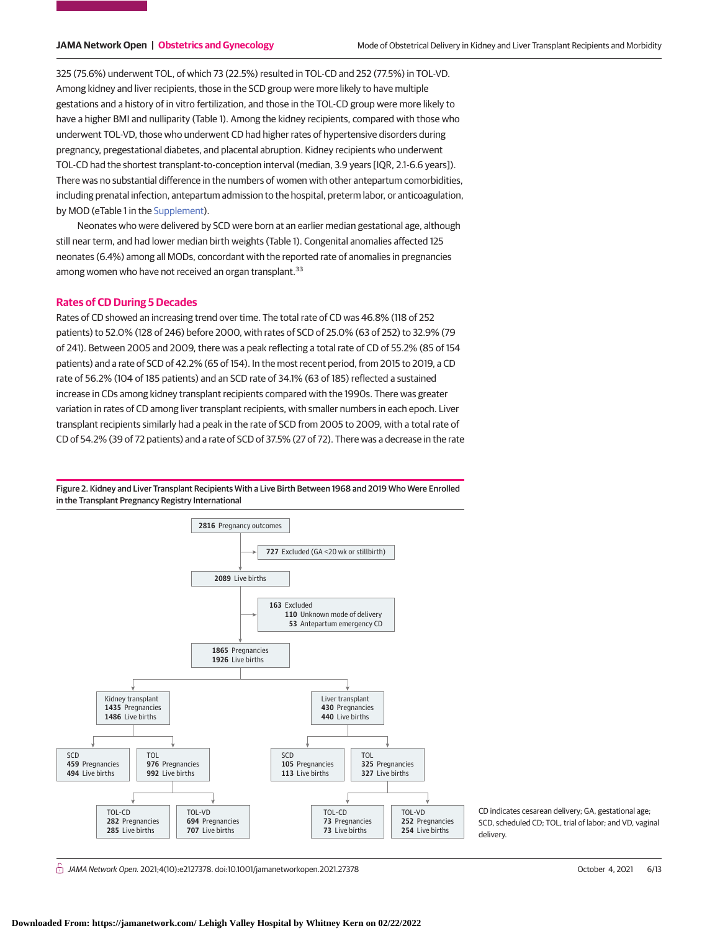325 (75.6%) underwent TOL, of which 73 (22.5%) resulted in TOL-CD and 252 (77.5%) in TOL-VD. Among kidney and liver recipients, those in the SCD group were more likely to have multiple gestations and a history of in vitro fertilization, and those in the TOL-CD group were more likely to have a higher BMI and nulliparity (Table 1). Among the kidney recipients, compared with those who underwent TOL-VD, those who underwent CD had higher rates of hypertensive disorders during pregnancy, pregestational diabetes, and placental abruption. Kidney recipients who underwent TOL-CD had the shortest transplant-to-conception interval (median, 3.9 years [IQR, 2.1-6.6 years]). There was no substantial difference in the numbers of women with other antepartum comorbidities, including prenatal infection, antepartum admission to the hospital, preterm labor, or anticoagulation, by MOD (eTable 1 in the [Supplement\)](https://jama.jamanetwork.com/article.aspx?doi=10.1001/jamanetworkopen.2021.27378&utm_campaign=articlePDF%26utm_medium=articlePDFlink%26utm_source=articlePDF%26utm_content=jamanetworkopen.2021.27378).

Neonates who were delivered by SCD were born at an earlier median gestational age, although still near term, and had lower median birth weights (Table 1). Congenital anomalies affected 125 neonates (6.4%) among all MODs, concordant with the reported rate of anomalies in pregnancies among women who have not received an organ transplant.<sup>33</sup>

### **Rates of CD During 5 Decades**

Rates of CD showed an increasing trend over time. The total rate of CD was 46.8% (118 of 252 patients) to 52.0% (128 of 246) before 2000, with rates of SCD of 25.0% (63 of 252) to 32.9% (79 of 241). Between 2005 and 2009, there was a peak reflecting a total rate of CD of 55.2% (85 of 154 patients) and a rate of SCD of 42.2% (65 of 154). In the most recent period, from 2015 to 2019, a CD rate of 56.2% (104 of 185 patients) and an SCD rate of 34.1% (63 of 185) reflected a sustained increase in CDs among kidney transplant recipients compared with the 1990s. There was greater variation in rates of CD among liver transplant recipients, with smaller numbers in each epoch. Liver transplant recipients similarly had a peak in the rate of SCD from 2005 to 2009, with a total rate of CD of 54.2% (39 of 72 patients) and a rate of SCD of 37.5% (27 of 72). There was a decrease in the rate

Figure 2. Kidney and Liver Transplant Recipients With a Live Birth Between 1968 and 2019 Who Were Enrolled in the Transplant Pregnancy Registry International



CD indicates cesarean delivery; GA, gestational age; SCD, scheduled CD; TOL, trial of labor; and VD, vaginal delivery.

 $\stackrel{\frown}{\Box}$  JAMA Network Open. 2021;4(10):e2127378. doi:10.1001/jamanetworkopen.2021.27378 (Reprinted) October 4, 2021 6/13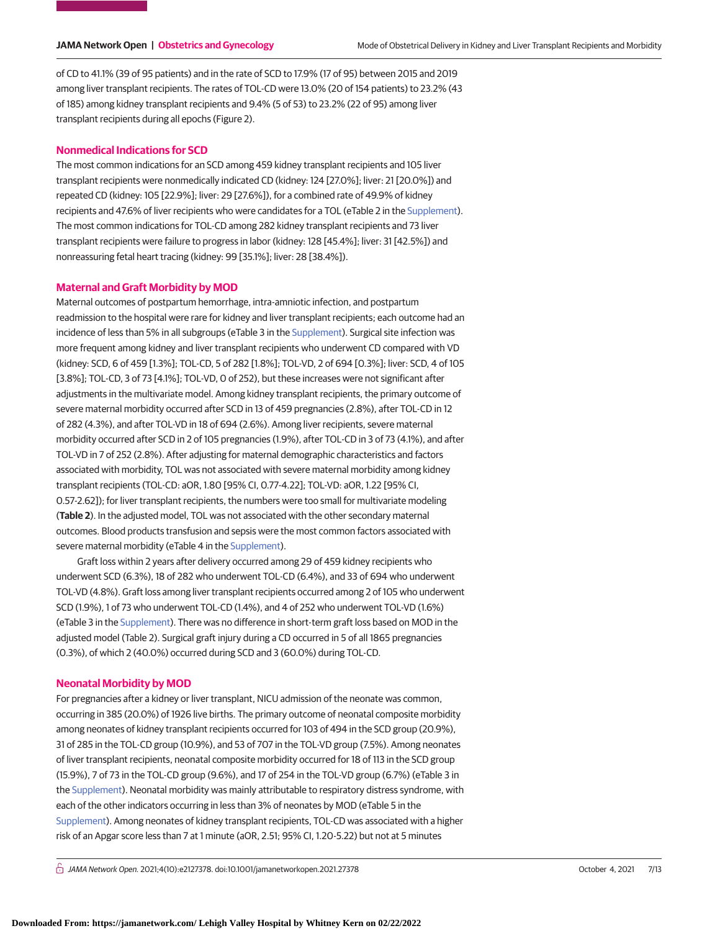of CD to 41.1% (39 of 95 patients) and in the rate of SCD to 17.9% (17 of 95) between 2015 and 2019 among liver transplant recipients. The rates of TOL-CD were 13.0% (20 of 154 patients) to 23.2% (43 of 185) among kidney transplant recipients and 9.4% (5 of 53) to 23.2% (22 of 95) among liver transplant recipients during all epochs (Figure 2).

## **Nonmedical Indications for SCD**

The most common indications for an SCD among 459 kidney transplant recipients and 105 liver transplant recipients were nonmedically indicated CD (kidney: 124 [27.0%]; liver: 21 [20.0%]) and repeated CD (kidney: 105 [22.9%]; liver: 29 [27.6%]), for a combined rate of 49.9% of kidney recipients and 47.6% of liver recipients who were candidates for a TOL (eTable 2 in the [Supplement\)](https://jama.jamanetwork.com/article.aspx?doi=10.1001/jamanetworkopen.2021.27378&utm_campaign=articlePDF%26utm_medium=articlePDFlink%26utm_source=articlePDF%26utm_content=jamanetworkopen.2021.27378). The most common indications for TOL-CD among 282 kidney transplant recipients and 73 liver transplant recipients were failure to progress in labor (kidney: 128 [45.4%]; liver: 31 [42.5%]) and nonreassuring fetal heart tracing (kidney: 99 [35.1%]; liver: 28 [38.4%]).

### **Maternal and Graft Morbidity by MOD**

Maternal outcomes of postpartum hemorrhage, intra-amniotic infection, and postpartum readmission to the hospital were rare for kidney and liver transplant recipients; each outcome had an incidence of less than 5% in all subgroups (eTable 3 in the [Supplement\)](https://jama.jamanetwork.com/article.aspx?doi=10.1001/jamanetworkopen.2021.27378&utm_campaign=articlePDF%26utm_medium=articlePDFlink%26utm_source=articlePDF%26utm_content=jamanetworkopen.2021.27378). Surgical site infection was more frequent among kidney and liver transplant recipients who underwent CD compared with VD (kidney: SCD, 6 of 459 [1.3%]; TOL-CD, 5 of 282 [1.8%]; TOL-VD, 2 of 694 [0.3%]; liver: SCD, 4 of 105 [3.8%]; TOL-CD, 3 of 73 [4.1%]; TOL-VD, 0 of 252), but these increases were not significant after adjustments in the multivariate model. Among kidney transplant recipients, the primary outcome of severe maternal morbidity occurred after SCD in 13 of 459 pregnancies (2.8%), after TOL-CD in 12 of 282 (4.3%), and after TOL-VD in 18 of 694 (2.6%). Among liver recipients, severe maternal morbidity occurred after SCD in 2 of 105 pregnancies (1.9%), after TOL-CD in 3 of 73 (4.1%), and after TOL-VD in 7 of 252 (2.8%). After adjusting for maternal demographic characteristics and factors associated with morbidity, TOL was not associated with severe maternal morbidity among kidney transplant recipients (TOL-CD: aOR, 1.80 [95% CI, 0.77-4.22]; TOL-VD: aOR, 1.22 [95% CI, 0.57-2.62]); for liver transplant recipients, the numbers were too small for multivariate modeling (**Table 2**). In the adjusted model, TOL was not associated with the other secondary maternal outcomes. Blood products transfusion and sepsis were the most common factors associated with severe maternal morbidity (eTable 4 in the [Supplement\)](https://jama.jamanetwork.com/article.aspx?doi=10.1001/jamanetworkopen.2021.27378&utm_campaign=articlePDF%26utm_medium=articlePDFlink%26utm_source=articlePDF%26utm_content=jamanetworkopen.2021.27378).

Graft loss within 2 years after delivery occurred among 29 of 459 kidney recipients who underwent SCD (6.3%), 18 of 282 who underwent TOL-CD (6.4%), and 33 of 694 who underwent TOL-VD (4.8%). Graft loss among liver transplant recipients occurred among 2 of 105 who underwent SCD (1.9%), 1 of 73 who underwent TOL-CD (1.4%), and 4 of 252 who underwent TOL-VD (1.6%) (eTable 3 in the [Supplement\)](https://jama.jamanetwork.com/article.aspx?doi=10.1001/jamanetworkopen.2021.27378&utm_campaign=articlePDF%26utm_medium=articlePDFlink%26utm_source=articlePDF%26utm_content=jamanetworkopen.2021.27378). There was no difference in short-term graft loss based on MOD in the adjusted model (Table 2). Surgical graft injury during a CD occurred in 5 of all 1865 pregnancies (0.3%), of which 2 (40.0%) occurred during SCD and 3 (60.0%) during TOL-CD.

## **Neonatal Morbidity by MOD**

For pregnancies after a kidney or liver transplant, NICU admission of the neonate was common, occurring in 385 (20.0%) of 1926 live births. The primary outcome of neonatal composite morbidity among neonates of kidney transplant recipients occurred for 103 of 494 in the SCD group (20.9%), 31 of 285 in the TOL-CD group (10.9%), and 53 of 707 in the TOL-VD group (7.5%). Among neonates of liver transplant recipients, neonatal composite morbidity occurred for 18 of 113 in the SCD group (15.9%), 7 of 73 in the TOL-CD group (9.6%), and 17 of 254 in the TOL-VD group (6.7%) (eTable 3 in the [Supplement\)](https://jama.jamanetwork.com/article.aspx?doi=10.1001/jamanetworkopen.2021.27378&utm_campaign=articlePDF%26utm_medium=articlePDFlink%26utm_source=articlePDF%26utm_content=jamanetworkopen.2021.27378). Neonatal morbidity was mainly attributable to respiratory distress syndrome, with each of the other indicators occurring in less than 3% of neonates by MOD (eTable 5 in the [Supplement\)](https://jama.jamanetwork.com/article.aspx?doi=10.1001/jamanetworkopen.2021.27378&utm_campaign=articlePDF%26utm_medium=articlePDFlink%26utm_source=articlePDF%26utm_content=jamanetworkopen.2021.27378). Among neonates of kidney transplant recipients, TOL-CD was associated with a higher risk of an Apgar score less than 7 at 1 minute (aOR, 2.51; 95% CI, 1.20-5.22) but not at 5 minutes

 $\bigcap$  JAMA Network Open. 2021;4(10):e2127378. doi:10.1001/jamanetworkopen.2021.27378 (Reprinted) October 4, 2021 7/13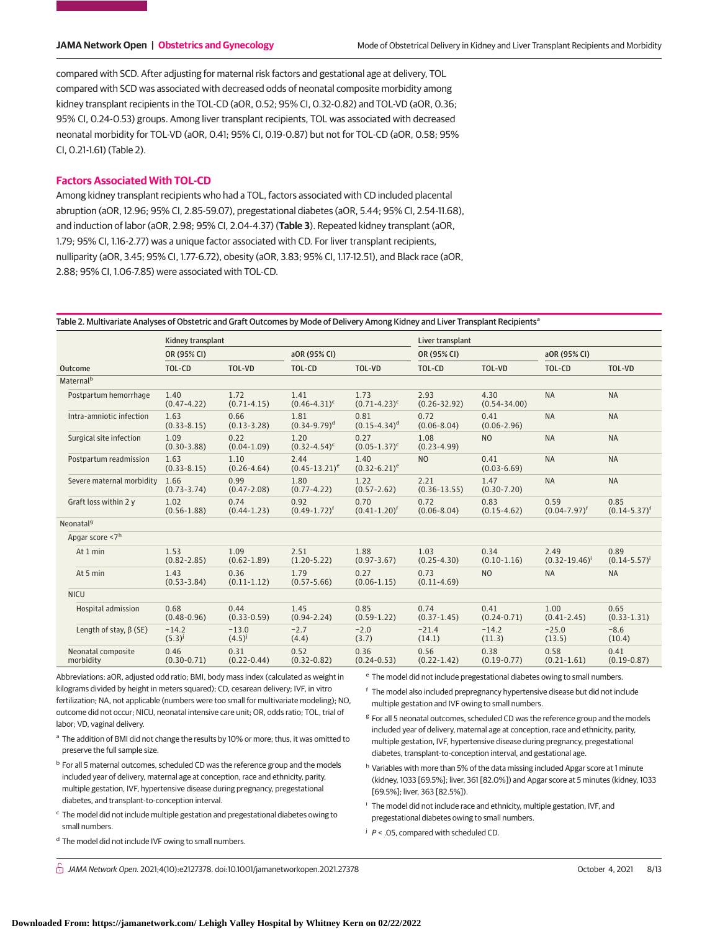compared with SCD. After adjusting for maternal risk factors and gestational age at delivery, TOL compared with SCD was associated with decreased odds of neonatal composite morbidity among kidney transplant recipients in the TOL-CD (aOR, 0.52; 95% CI, 0.32-0.82) and TOL-VD (aOR, 0.36; 95% CI, 0.24-0.53) groups. Among liver transplant recipients, TOL was associated with decreased neonatal morbidity for TOL-VD (aOR, 0.41; 95% CI, 0.19-0.87) but not for TOL-CD (aOR, 0.58; 95% CI, 0.21-1.61) (Table 2).

# **Factors Associated With TOL-CD**

Among kidney transplant recipients who had a TOL, factors associated with CD included placental abruption (aOR, 12.96; 95% CI, 2.85-59.07), pregestational diabetes (aOR, 5.44; 95% CI, 2.54-11.68), and induction of labor (aOR, 2.98; 95% CI, 2.04-4.37) (**Table 3**). Repeated kidney transplant (aOR, 1.79; 95% CI, 1.16-2.77) was a unique factor associated with CD. For liver transplant recipients, nulliparity (aOR, 3.45; 95% CI, 1.77-6.72), obesity (aOR, 3.83; 95% CI, 1.17-12.51), and Black race (aOR, 2.88; 95% CI, 1.06-7.85) were associated with TOL-CD.

Table 2. Multivariate Analyses of Obstetric and Graft Outcomes by Mode of Delivery Among Kidney and Liver Transplant Recipients<sup>a</sup>

|                                 | Kidney transplant       |                         |                            | Liver transplant          |                          |                          |                            |                             |
|---------------------------------|-------------------------|-------------------------|----------------------------|---------------------------|--------------------------|--------------------------|----------------------------|-----------------------------|
|                                 | OR (95% CI)             |                         | aOR (95% CI)               |                           | OR (95% CI)              |                          | aOR (95% CI)               |                             |
| Outcome                         | TOL-CD                  | <b>TOL-VD</b>           | TOL-CD                     | <b>TOL-VD</b>             | TOL-CD                   | TOL-VD                   | TOL-CD                     | TOL-VD                      |
| Maternal <sup>b</sup>           |                         |                         |                            |                           |                          |                          |                            |                             |
| Postpartum hemorrhage           | 1.40<br>$(0.47 - 4.22)$ | 1.72<br>$(0.71 - 4.15)$ | 1.41<br>$(0.46 - 4.31)^c$  | 1.73<br>$(0.71 - 4.23)^c$ | 2.93<br>$(0.26 - 32.92)$ | 4.30<br>$(0.54 - 34.00)$ | <b>NA</b>                  | <b>NA</b>                   |
| Intra-amniotic infection        | 1.63<br>$(0.33 - 8.15)$ | 0.66<br>$(0.13 - 3.28)$ | 1.81<br>$(0.34 - 9.79)^d$  | 0.81<br>$(0.15 - 4.34)^d$ | 0.72<br>$(0.06 - 8.04)$  | 0.41<br>$(0.06 - 2.96)$  | <b>NA</b>                  | <b>NA</b>                   |
| Surgical site infection         | 1.09<br>$(0.30 - 3.88)$ | 0.22<br>$(0.04 - 1.09)$ | 1.20<br>$(0.32 - 4.54)^c$  | 0.27<br>$(0.05 - 1.37)^c$ | 1.08<br>$(0.23 - 4.99)$  | N <sub>O</sub>           | <b>NA</b>                  | <b>NA</b>                   |
| Postpartum readmission          | 1.63<br>$(0.33 - 8.15)$ | 1.10<br>$(0.26 - 4.64)$ | 2.44<br>$(0.45 - 13.21)^e$ | 1.40<br>$(0.32 - 6.21)^e$ | <b>NO</b>                | 0.41<br>$(0.03 - 6.69)$  | <b>NA</b>                  | <b>NA</b>                   |
| Severe maternal morbidity       | 1.66<br>$(0.73 - 3.74)$ | 0.99<br>$(0.47 - 2.08)$ | 1.80<br>$(0.77 - 4.22)$    | 1.22<br>$(0.57 - 2.62)$   | 2.21<br>$(0.36 - 13.55)$ | 1.47<br>$(0.30 - 7.20)$  | <b>NA</b>                  | <b>NA</b>                   |
| Graft loss within 2 y           | 1.02<br>$(0.56 - 1.88)$ | 0.74<br>$(0.44 - 1.23)$ | 0.92<br>$(0.49 - 1.72)^f$  | 0.70<br>$(0.41 - 1.20)^f$ | 0.72<br>$(0.06 - 8.04)$  | 0.83<br>$(0.15 - 4.62)$  | 0.59<br>$(0.04 - 7.97)^f$  | 0.85<br>$(0.14 - 5.37)^f$   |
| Neonatal <sup>9</sup>           |                         |                         |                            |                           |                          |                          |                            |                             |
| Apgar score <7h                 |                         |                         |                            |                           |                          |                          |                            |                             |
| At 1 min                        | 1.53<br>$(0.82 - 2.85)$ | 1.09<br>$(0.62 - 1.89)$ | 2.51<br>$(1.20 - 5.22)$    | 1.88<br>$(0.97 - 3.67)$   | 1.03<br>$(0.25 - 4.30)$  | 0.34<br>$(0.10 - 1.16)$  | 2.49<br>$(0.32 - 19.46)^i$ | 0.89<br>$(0.14 - 5.57)^{i}$ |
| At 5 min                        | 1.43<br>$(0.53 - 3.84)$ | 0.36<br>$(0.11 - 1.12)$ | 1.79<br>$(0.57 - 5.66)$    | 0.27<br>$(0.06 - 1.15)$   | 0.73<br>$(0.11 - 4.69)$  | N <sub>O</sub>           | <b>NA</b>                  | <b>NA</b>                   |
| <b>NICU</b>                     |                         |                         |                            |                           |                          |                          |                            |                             |
| Hospital admission              | 0.68<br>$(0.48 - 0.96)$ | 0.44<br>$(0.33 - 0.59)$ | 1.45<br>$(0.94 - 2.24)$    | 0.85<br>$(0.59 - 1.22)$   | 0.74<br>$(0.37 - 1.45)$  | 0.41<br>$(0.24 - 0.71)$  | 1.00<br>$(0.41 - 2.45)$    | 0.65<br>$(0.33 - 1.31)$     |
| Length of stay, $\beta$ (SE)    | $-14.2$<br>$(5.3)^{j}$  | $-13.0$<br>$(4.5)^{j}$  | $-2.7$<br>(4.4)            | $-2.0$<br>(3.7)           | $-21.4$<br>(14.1)        | $-14.2$<br>(11.3)        | $-25.0$<br>(13.5)          | $-8.6$<br>(10.4)            |
| Neonatal composite<br>morbidity | 0.46<br>$(0.30 - 0.71)$ | 0.31<br>$(0.22 - 0.44)$ | 0.52<br>$(0.32 - 0.82)$    | 0.36<br>$(0.24 - 0.53)$   | 0.56<br>$(0.22 - 1.42)$  | 0.38<br>$(0.19 - 0.77)$  | 0.58<br>$(0.21 - 1.61)$    | 0.41<br>$(0.19 - 0.87)$     |

Abbreviations: aOR, adjusted odd ratio; BMI, body mass index (calculated as weight in kilograms divided by height in meters squared); CD, cesarean delivery; IVF, in vitro fertilization; NA, not applicable (numbers were too small for multivariate modeling); NO, outcome did not occur; NICU, neonatal intensive care unit; OR, odds ratio; TOL, trial of labor; VD, vaginal delivery.

- <sup>a</sup> The addition of BMI did not change the results by 10% or more; thus, it was omitted to preserve the full sample size.
- <sup>b</sup> For all 5 maternal outcomes, scheduled CD was the reference group and the models included year of delivery, maternal age at conception, race and ethnicity, parity, multiple gestation, IVF, hypertensive disease during pregnancy, pregestational diabetes, and transplant-to-conception interval.
- <sup>c</sup> The model did not include multiple gestation and pregestational diabetes owing to small numbers.
- <sup>d</sup> The model did not include IVF owing to small numbers.

 $\bigcap$  JAMA Network Open. 2021;4(10):e2127378. doi:10.1001/jamanetworkopen.2021.27378 (Reprinted) October 4, 2021 8/13

<sup>e</sup> The model did not include pregestational diabetes owing to small numbers.

- <sup>f</sup> The model also included prepregnancy hypertensive disease but did not include multiple gestation and IVF owing to small numbers.
- <sup>g</sup> For all 5 neonatal outcomes, scheduled CD was the reference group and the models included year of delivery, maternal age at conception, race and ethnicity, parity, multiple gestation, IVF, hypertensive disease during pregnancy, pregestational diabetes, transplant-to-conception interval, and gestational age.
- <sup>h</sup> Variables with more than 5% of the data missing included Apgar score at 1 minute (kidney, 1033 [69.5%]; liver, 361 [82.0%]) and Apgar score at 5 minutes (kidney, 1033 [69.5%]; liver, 363 [82.5%]).
- <sup>i</sup> The model did not include race and ethnicity, multiple gestation, IVF, and pregestational diabetes owing to small numbers.
- $j$   $P <$  .05, compared with scheduled CD.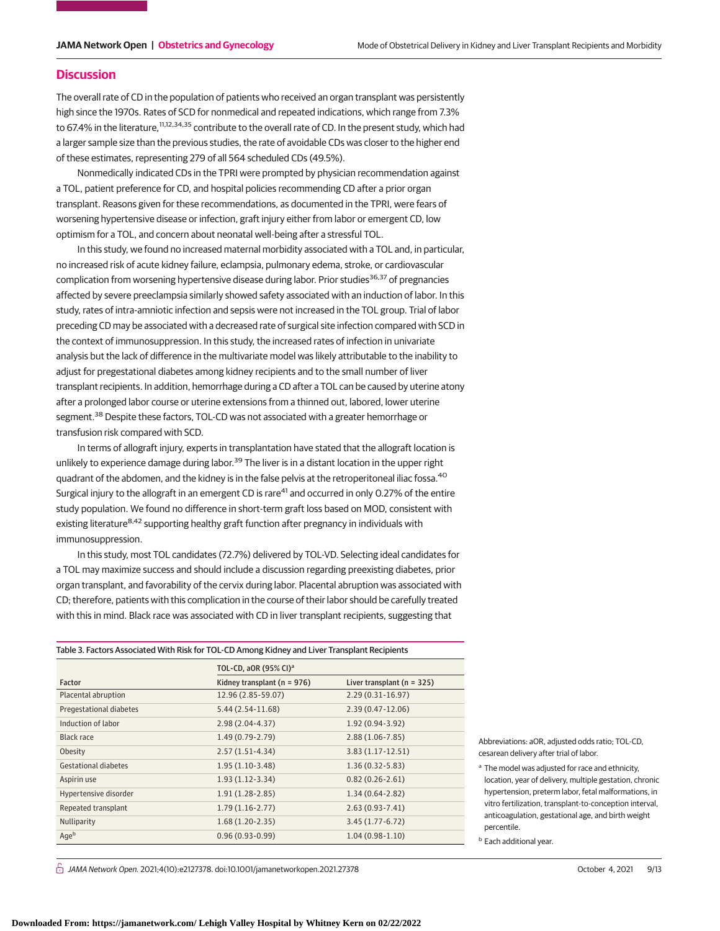## **Discussion**

The overall rate of CD in the population of patients who received an organ transplant was persistently high since the 1970s. Rates of SCD for nonmedical and repeated indications, which range from 7.3% to 67.4% in the literature,<sup>11,12,34,35</sup> contribute to the overall rate of CD. In the present study, which had a larger sample size than the previous studies, the rate of avoidable CDs was closer to the higher end of these estimates, representing 279 of all 564 scheduled CDs (49.5%).

Nonmedically indicated CDs in the TPRI were prompted by physician recommendation against a TOL, patient preference for CD, and hospital policies recommending CD after a prior organ transplant. Reasons given for these recommendations, as documented in the TPRI, were fears of worsening hypertensive disease or infection, graft injury either from labor or emergent CD, low optimism for a TOL, and concern about neonatal well-being after a stressful TOL.

In this study, we found no increased maternal morbidity associated with a TOL and, in particular, no increased risk of acute kidney failure, eclampsia, pulmonary edema, stroke, or cardiovascular complication from worsening hypertensive disease during labor. Prior studies<sup>36,37</sup> of pregnancies affected by severe preeclampsia similarly showed safety associated with an induction of labor. In this study, rates of intra-amniotic infection and sepsis were not increased in the TOL group. Trial of labor preceding CD may be associated with a decreased rate of surgical site infection compared with SCD in the context of immunosuppression. In this study, the increased rates of infection in univariate analysis but the lack of difference in the multivariate model was likely attributable to the inability to adjust for pregestational diabetes among kidney recipients and to the small number of liver transplant recipients. In addition, hemorrhage during a CD after a TOL can be caused by uterine atony after a prolonged labor course or uterine extensions from a thinned out, labored, lower uterine segment.<sup>38</sup> Despite these factors, TOL-CD was not associated with a greater hemorrhage or transfusion risk compared with SCD.

In terms of allograft injury, experts in transplantation have stated that the allograft location is unlikely to experience damage during labor.<sup>39</sup> The liver is in a distant location in the upper right quadrant of the abdomen, and the kidney is in the false pelvis at the retroperitoneal iliac fossa.<sup>40</sup> Surgical injury to the allograft in an emergent CD is rare<sup>41</sup> and occurred in only 0.27% of the entire study population. We found no difference in short-term graft loss based on MOD, consistent with existing literature<sup>8,42</sup> supporting healthy graft function after pregnancy in individuals with immunosuppression.

In this study, most TOL candidates (72.7%) delivered by TOL-VD. Selecting ideal candidates for a TOL may maximize success and should include a discussion regarding preexisting diabetes, prior organ transplant, and favorability of the cervix during labor. Placental abruption was associated with CD; therefore, patients with this complication in the course of their labor should be carefully treated with this in mind. Black race was associated with CD in liver transplant recipients, suggesting that

| Table 3. Factors Associated With Risk for TOL-CD Among Kidney and Liver Transplant Recipients |  |  |
|-----------------------------------------------------------------------------------------------|--|--|
|-----------------------------------------------------------------------------------------------|--|--|

|                         | TOL-CD, aOR (95% CI) <sup>a</sup> |                                |  |
|-------------------------|-----------------------------------|--------------------------------|--|
| Factor                  | Kidney transplant ( $n = 976$ )   | Liver transplant ( $n = 325$ ) |  |
| Placental abruption     | 12.96 (2.85-59.07)                | $2.29(0.31-16.97)$             |  |
| Pregestational diabetes | $5.44(2.54-11.68)$                | $2.39(0.47 - 12.06)$           |  |
| Induction of labor      | $2.98(2.04-4.37)$                 | $1.92(0.94-3.92)$              |  |
| Black race              | $1.49(0.79-2.79)$                 | $2.88(1.06 - 7.85)$            |  |
| Obesity                 | $2.57(1.51-4.34)$                 | $3.83(1.17-12.51)$             |  |
| Gestational diabetes    | $1.95(1.10-3.48)$                 | $1.36(0.32 - 5.83)$            |  |
| Aspirin use             | $1.93(1.12-3.34)$                 | $0.82(0.26 - 2.61)$            |  |
| Hypertensive disorder   | $1.91(1.28-2.85)$                 | $1.34(0.64 - 2.82)$            |  |
| Repeated transplant     | $1.79(1.16-2.77)$                 | $2.63(0.93 - 7.41)$            |  |
| Nulliparity             | $1.68(1.20-2.35)$                 | $3.45(1.77-6.72)$              |  |
| Ageb                    | $0.96(0.93-0.99)$                 | $1.04(0.98-1.10)$              |  |

 $\stackrel{\frown}{\Box}$  JAMA Network Open. 2021;4(10):e2127378. doi:10.1001/jamanetworkopen.2021.27378 (Reprinted) October 4, 2021 9/13

Abbreviations: aOR, adjusted odds ratio; TOL-CD, cesarean delivery after trial of labor.

<sup>a</sup> The model was adjusted for race and ethnicity, location, year of delivery, multiple gestation, chronic hypertension, preterm labor, fetal malformations, in vitro fertilization, transplant-to-conception interval, anticoagulation, gestational age, and birth weight percentile.

**b** Each additional year.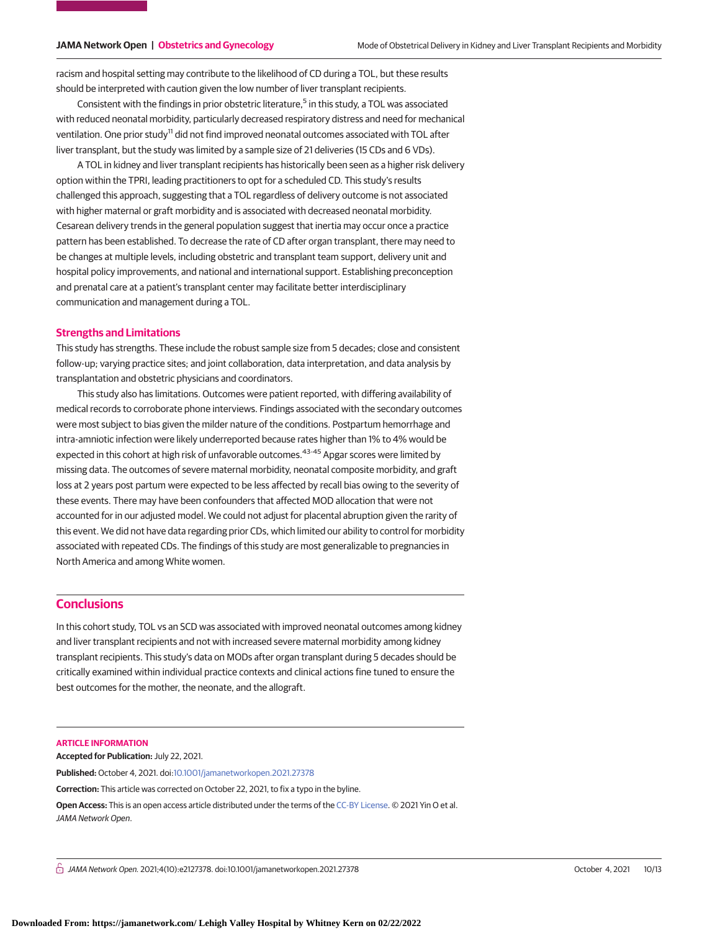racism and hospital setting may contribute to the likelihood of CD during a TOL, but these results should be interpreted with caution given the low number of liver transplant recipients.

Consistent with the findings in prior obstetric literature,<sup>5</sup> in this study, a TOL was associated with reduced neonatal morbidity, particularly decreased respiratory distress and need for mechanical ventilation. One prior study<sup>11</sup> did not find improved neonatal outcomes associated with TOL after liver transplant, but the study was limited by a sample size of 21 deliveries (15 CDs and 6 VDs).

A TOL in kidney and liver transplant recipients has historically been seen as a higher risk delivery option within the TPRI, leading practitioners to opt for a scheduled CD. This study's results challenged this approach, suggesting that a TOL regardless of delivery outcome is not associated with higher maternal or graft morbidity and is associated with decreased neonatal morbidity. Cesarean delivery trends in the general population suggest that inertia may occur once a practice pattern has been established. To decrease the rate of CD after organ transplant, there may need to be changes at multiple levels, including obstetric and transplant team support, delivery unit and hospital policy improvements, and national and international support. Establishing preconception and prenatal care at a patient's transplant center may facilitate better interdisciplinary communication and management during a TOL.

### **Strengths and Limitations**

This study has strengths. These include the robust sample size from 5 decades; close and consistent follow-up; varying practice sites; and joint collaboration, data interpretation, and data analysis by transplantation and obstetric physicians and coordinators.

This study also has limitations. Outcomes were patient reported, with differing availability of medical records to corroborate phone interviews. Findings associated with the secondary outcomes were most subject to bias given the milder nature of the conditions. Postpartum hemorrhage and intra-amniotic infection were likely underreported because rates higher than 1% to 4% would be expected in this cohort at high risk of unfavorable outcomes.<sup>43-45</sup> Apgar scores were limited by missing data. The outcomes of severe maternal morbidity, neonatal composite morbidity, and graft loss at 2 years post partum were expected to be less affected by recall bias owing to the severity of these events. There may have been confounders that affected MOD allocation that were not accounted for in our adjusted model. We could not adjust for placental abruption given the rarity of this event. We did not have data regarding prior CDs, which limited our ability to control for morbidity associated with repeated CDs. The findings of this study are most generalizable to pregnancies in North America and among White women.

# **Conclusions**

In this cohort study, TOL vs an SCD was associated with improved neonatal outcomes among kidney and liver transplant recipients and not with increased severe maternal morbidity among kidney transplant recipients. This study's data on MODs after organ transplant during 5 decades should be critically examined within individual practice contexts and clinical actions fine tuned to ensure the best outcomes for the mother, the neonate, and the allograft.

### **ARTICLE INFORMATION**

**Accepted for Publication:** July 22, 2021.

**Published:** October 4, 2021. doi[:10.1001/jamanetworkopen.2021.27378](https://jama.jamanetwork.com/article.aspx?doi=10.1001/jamanetworkopen.2021.27378&utm_campaign=articlePDF%26utm_medium=articlePDFlink%26utm_source=articlePDF%26utm_content=jamanetworkopen.2021.27378)

**Correction:** This article was corrected on October 22, 2021, to fix a typo in the byline.

**Open Access:** This is an open access article distributed under the terms of the [CC-BY License.](https://jamanetwork.com/pages/cc-by-license-permissions/?utm_campaign=articlePDF%26utm_medium=articlePDFlink%26utm_source=articlePDF%26utm_content=jamanetworkopen.2021.27378) © 2021 Yin O et al. JAMA Network Open.

 $\bigcap$  JAMA Network Open. 2021;4(10):e2127378. doi:10.1001/jamanetworkopen.2021.27378 (Reprinted) October 4, 2021 10/13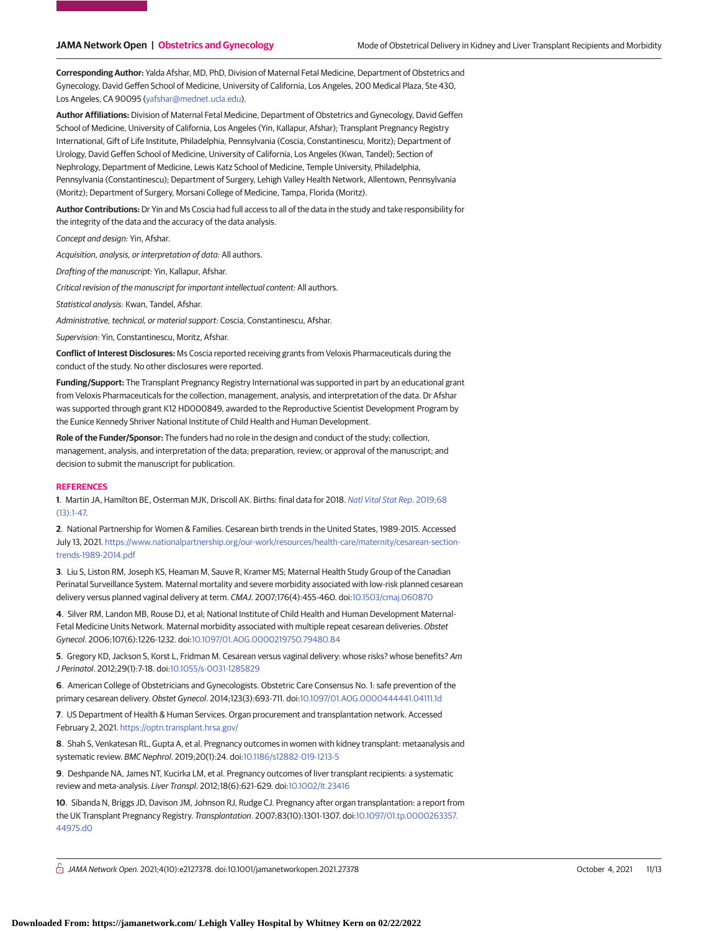**Corresponding Author:** Yalda Afshar, MD, PhD, Division of Maternal Fetal Medicine, Department of Obstetrics and Gynecology, David Geffen School of Medicine, University of California, Los Angeles, 200 Medical Plaza, Ste 430, Los Angeles, CA 90095 [\(yafshar@mednet.ucla.edu\)](mailto:yafshar@mednet.ucla.edu).

**Author Affiliations:** Division of Maternal Fetal Medicine, Department of Obstetrics and Gynecology, David Geffen School of Medicine, University of California, Los Angeles (Yin, Kallapur, Afshar); Transplant Pregnancy Registry International, Gift of Life Institute, Philadelphia, Pennsylvania (Coscia, Constantinescu, Moritz); Department of Urology, David Geffen School of Medicine, University of California, Los Angeles (Kwan, Tandel); Section of Nephrology, Department of Medicine, Lewis Katz School of Medicine, Temple University, Philadelphia, Pennsylvania (Constantinescu); Department of Surgery, Lehigh Valley Health Network, Allentown, Pennsylvania (Moritz); Department of Surgery, Morsani College of Medicine, Tampa, Florida (Moritz).

**Author Contributions:** Dr Yin and Ms Coscia had full access to all of the data in the study and take responsibility for the integrity of the data and the accuracy of the data analysis.

Concept and design: Yin, Afshar.

Acquisition, analysis, or interpretation of data: All authors.

Drafting of the manuscript: Yin, Kallapur, Afshar.

Critical revision of the manuscript for important intellectual content: All authors.

Statistical analysis: Kwan, Tandel, Afshar.

Administrative, technical, or material support: Coscia, Constantinescu, Afshar.

Supervision: Yin, Constantinescu, Moritz, Afshar.

**Conflict of Interest Disclosures:** Ms Coscia reported receiving grants from Veloxis Pharmaceuticals during the conduct of the study. No other disclosures were reported.

**Funding/Support:** The Transplant Pregnancy Registry International was supported in part by an educational grant from Veloxis Pharmaceuticals for the collection, management, analysis, and interpretation of the data. Dr Afshar was supported through grant K12 HD000849, awarded to the Reproductive Scientist Development Program by the Eunice Kennedy Shriver National Institute of Child Health and Human Development.

**Role of the Funder/Sponsor:** The funders had no role in the design and conduct of the study; collection, management, analysis, and interpretation of the data; preparation, review, or approval of the manuscript; and decision to submit the manuscript for publication.

### **REFERENCES**

**1**. Martin JA, Hamilton BE, Osterman MJK, Driscoll AK. Births: final data for 2018. [Natl Vital Stat Rep](https://www.ncbi.nlm.nih.gov/pubmed/32501202). 2019;68 [\(13\):1-47.](https://www.ncbi.nlm.nih.gov/pubmed/32501202)

**2**. National Partnership for Women & Families. Cesarean birth trends in the United States, 1989-2015. Accessed July 13, 2021. [https://www.nationalpartnership.org/our-work/resources/health-care/maternity/cesarean-section](https://www.nationalpartnership.org/our-work/resources/health-care/maternity/cesarean-section-trends-1989-2014.pdf)[trends-1989-2014.pdf](https://www.nationalpartnership.org/our-work/resources/health-care/maternity/cesarean-section-trends-1989-2014.pdf)

**3**. Liu S, Liston RM, Joseph KS, Heaman M, Sauve R, Kramer MS; Maternal Health Study Group of the Canadian Perinatal Surveillance System. Maternal mortality and severe morbidity associated with low-risk planned cesarean delivery versus planned vaginal delivery at term. CMAJ. 2007;176(4):455-460. doi[:10.1503/cmaj.060870](https://dx.doi.org/10.1503/cmaj.060870)

**4**. Silver RM, Landon MB, Rouse DJ, et al; National Institute of Child Health and Human Development Maternal-Fetal Medicine Units Network. Maternal morbidity associated with multiple repeat cesarean deliveries. Obstet Gynecol. 2006;107(6):1226-1232. doi[:10.1097/01.AOG.0000219750.79480.84](https://dx.doi.org/10.1097/01.AOG.0000219750.79480.84)

**5**. Gregory KD, Jackson S, Korst L, Fridman M. Cesarean versus vaginal delivery: whose risks? whose benefits? Am J Perinatol. 2012;29(1):7-18. doi[:10.1055/s-0031-1285829](https://dx.doi.org/10.1055/s-0031-1285829)

**6**. American College of Obstetricians and Gynecologists. Obstetric Care Consensus No. 1: safe prevention of the primary cesarean delivery. Obstet Gynecol. 2014;123(3):693-711. doi[:10.1097/01.AOG.0000444441.04111.1d](https://dx.doi.org/10.1097/01.AOG.0000444441.04111.1d)

**7**. US Department of Health & Human Services. Organ procurement and transplantation network. Accessed February 2, 2021. <https://optn.transplant.hrsa.gov/>

**8**. Shah S, Venkatesan RL, Gupta A, et al. Pregnancy outcomes in women with kidney transplant: metaanalysis and systematic review. BMC Nephrol. 2019;20(1):24. doi[:10.1186/s12882-019-1213-5](https://dx.doi.org/10.1186/s12882-019-1213-5)

**9**. Deshpande NA, James NT, Kucirka LM, et al. Pregnancy outcomes of liver transplant recipients: a systematic review and meta-analysis. Liver Transpl. 2012;18(6):621-629. doi[:10.1002/lt.23416](https://dx.doi.org/10.1002/lt.23416)

**10**. Sibanda N, Briggs JD, Davison JM, Johnson RJ, Rudge CJ. Pregnancy after organ transplantation: a report from the UK Transplant Pregnancy Registry. Transplantation. 2007;83(10):1301-1307. doi[:10.1097/01.tp.0000263357.](https://dx.doi.org/10.1097/01.tp.0000263357.44975.d0) [44975.d0](https://dx.doi.org/10.1097/01.tp.0000263357.44975.d0)

 $\bigcap$  JAMA Network Open. 2021;4(10):e2127378. doi:10.1001/jamanetworkopen.2021.27378 (Reprinted) October 4, 2021 11/13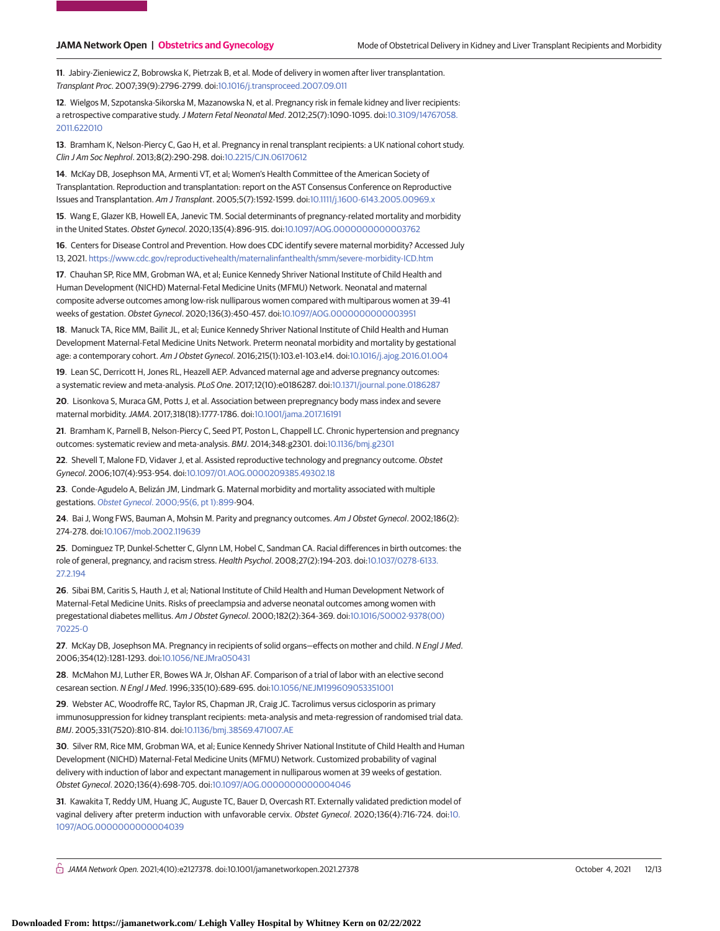**11**. Jabiry-Zieniewicz Z, Bobrowska K, Pietrzak B, et al. Mode of delivery in women after liver transplantation. Transplant Proc. 2007;39(9):2796-2799. doi[:10.1016/j.transproceed.2007.09.011](https://dx.doi.org/10.1016/j.transproceed.2007.09.011)

**12**. Wielgos M, Szpotanska-Sikorska M, Mazanowska N, et al. Pregnancy risk in female kidney and liver recipients: a retrospective comparative study.J Matern Fetal Neonatal Med. 2012;25(7):1090-1095. doi[:10.3109/14767058.](https://dx.doi.org/10.3109/14767058.2011.622010) [2011.622010](https://dx.doi.org/10.3109/14767058.2011.622010)

**13**. Bramham K, Nelson-Piercy C, Gao H, et al. Pregnancy in renal transplant recipients: a UK national cohort study. Clin J Am Soc Nephrol. 2013;8(2):290-298. doi[:10.2215/CJN.06170612](https://dx.doi.org/10.2215/CJN.06170612)

**14**. McKay DB, Josephson MA, Armenti VT, et al; Women's Health Committee of the American Society of Transplantation. Reproduction and transplantation: report on the AST Consensus Conference on Reproductive Issues and Transplantation. Am J Transplant. 2005;5(7):1592-1599. doi[:10.1111/j.1600-6143.2005.00969.x](https://dx.doi.org/10.1111/j.1600-6143.2005.00969.x)

**15**. Wang E, Glazer KB, Howell EA, Janevic TM. Social determinants of pregnancy-related mortality and morbidity in the United States. Obstet Gynecol. 2020;135(4):896-915. doi[:10.1097/AOG.0000000000003762](https://dx.doi.org/10.1097/AOG.0000000000003762)

**16**. Centers for Disease Control and Prevention. How does CDC identify severe maternal morbidity? Accessed July 13, 2021. <https://www.cdc.gov/reproductivehealth/maternalinfanthealth/smm/severe-morbidity-ICD.htm>

**17**. Chauhan SP, Rice MM, Grobman WA, et al; Eunice Kennedy Shriver National Institute of Child Health and Human Development (NICHD) Maternal-Fetal Medicine Units (MFMU) Network. Neonatal and maternal composite adverse outcomes among low-risk nulliparous women compared with multiparous women at 39-41 weeks of gestation. Obstet Gynecol. 2020;136(3):450-457. doi[:10.1097/AOG.0000000000003951](https://dx.doi.org/10.1097/AOG.0000000000003951)

**18**. Manuck TA, Rice MM, Bailit JL, et al; Eunice Kennedy Shriver National Institute of Child Health and Human Development Maternal-Fetal Medicine Units Network. Preterm neonatal morbidity and mortality by gestational age: a contemporary cohort. Am J Obstet Gynecol. 2016;215(1):103.e1-103.e14. doi[:10.1016/j.ajog.2016.01.004](https://dx.doi.org/10.1016/j.ajog.2016.01.004)

**19**. Lean SC, Derricott H, Jones RL, Heazell AEP. Advanced maternal age and adverse pregnancy outcomes: a systematic review and meta-analysis. PLoS One. 2017;12(10):e0186287. doi[:10.1371/journal.pone.0186287](https://dx.doi.org/10.1371/journal.pone.0186287)

**20**. Lisonkova S, Muraca GM, Potts J, et al. Association between prepregnancy body mass index and severe maternal morbidity.JAMA. 2017;318(18):1777-1786. doi[:10.1001/jama.2017.16191](https://jama.jamanetwork.com/article.aspx?doi=10.1001/jama.2017.16191&utm_campaign=articlePDF%26utm_medium=articlePDFlink%26utm_source=articlePDF%26utm_content=jamanetworkopen.2021.27378)

**21**. Bramham K, Parnell B, Nelson-Piercy C, Seed PT, Poston L, Chappell LC. Chronic hypertension and pregnancy outcomes: systematic review and meta-analysis. BMJ. 2014;348:g2301. doi[:10.1136/bmj.g2301](https://dx.doi.org/10.1136/bmj.g2301)

**22**. Shevell T, Malone FD, Vidaver J, et al. Assisted reproductive technology and pregnancy outcome. Obstet Gynecol. 2006;107(4):953-954. doi[:10.1097/01.AOG.0000209385.49302.18](https://dx.doi.org/10.1097/01.AOG.0000209385.49302.18)

**23**. Conde-Agudelo A, Belizán JM, Lindmark G. Maternal morbidity and mortality associated with multiple gestations. Obstet Gynecol[. 2000;95\(6, pt 1\):899-](https://www.ncbi.nlm.nih.gov/pubmed/10831988)904.

**24**. Bai J, Wong FWS, Bauman A, Mohsin M. Parity and pregnancy outcomes. Am J Obstet Gynecol. 2002;186(2): 274-278. doi[:10.1067/mob.2002.119639](https://dx.doi.org/10.1067/mob.2002.119639)

**25**. Dominguez TP, Dunkel-Schetter C, Glynn LM, Hobel C, Sandman CA. Racial differences in birth outcomes: the role of general, pregnancy, and racism stress. Health Psychol. 2008;27(2):194-203. doi[:10.1037/0278-6133.](https://dx.doi.org/10.1037/0278-6133.27.2.194) [27.2.194](https://dx.doi.org/10.1037/0278-6133.27.2.194)

**26**. Sibai BM, Caritis S, Hauth J, et al; National Institute of Child Health and Human Development Network of Maternal-Fetal Medicine Units. Risks of preeclampsia and adverse neonatal outcomes among women with pregestational diabetes mellitus. Am J Obstet Gynecol. 2000;182(2):364-369. doi[:10.1016/S0002-9378\(00\)](https://dx.doi.org/10.1016/S0002-9378(00)70225-0) [70225-0](https://dx.doi.org/10.1016/S0002-9378(00)70225-0)

**27**. McKay DB, Josephson MA. Pregnancy in recipients of solid organs—effects on mother and child. N Engl J Med. 2006;354(12):1281-1293. doi[:10.1056/NEJMra050431](https://dx.doi.org/10.1056/NEJMra050431)

**28**. McMahon MJ, Luther ER, Bowes WA Jr, Olshan AF. Comparison of a trial of labor with an elective second cesarean section. N Engl J Med. 1996;335(10):689-695. doi[:10.1056/NEJM199609053351001](https://dx.doi.org/10.1056/NEJM199609053351001)

**29**. Webster AC, Woodroffe RC, Taylor RS, Chapman JR, Craig JC. Tacrolimus versus ciclosporin as primary immunosuppression for kidney transplant recipients: meta-analysis and meta-regression of randomised trial data. BMJ. 2005;331(7520):810-814. doi[:10.1136/bmj.38569.471007.AE](https://dx.doi.org/10.1136/bmj.38569.471007.AE)

**30**. Silver RM, Rice MM, Grobman WA, et al; Eunice Kennedy Shriver National Institute of Child Health and Human Development (NICHD) Maternal-Fetal Medicine Units (MFMU) Network. Customized probability of vaginal delivery with induction of labor and expectant management in nulliparous women at 39 weeks of gestation. Obstet Gynecol. 2020;136(4):698-705. doi[:10.1097/AOG.0000000000004046](https://dx.doi.org/10.1097/AOG.0000000000004046)

**31**. Kawakita T, Reddy UM, Huang JC, Auguste TC, Bauer D, Overcash RT. Externally validated prediction model of vaginal delivery after preterm induction with unfavorable cervix. Obstet Gynecol. 2020;136(4):716-724. doi[:10.](https://dx.doi.org/10.1097/AOG.0000000000004039) [1097/AOG.0000000000004039](https://dx.doi.org/10.1097/AOG.0000000000004039)

 $\bigcap$  JAMA Network Open. 2021;4(10):e2127378. doi:10.1001/jamanetworkopen.2021.27378 (Reprinted) October 4, 2021 12/13